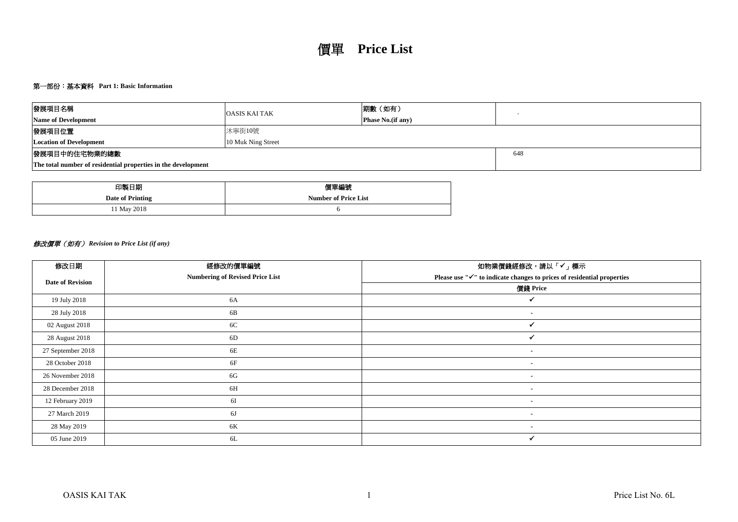# 第一部份:基本資料 **Part 1: Basic Information**

| 發展項目名稱                                                        | <b>OASIS KAI TAK</b> | 期數 (如有)                   |  |  |  |  |  |  |
|---------------------------------------------------------------|----------------------|---------------------------|--|--|--|--|--|--|
| <b>Name of Development</b>                                    |                      | <b>Phase No.</b> (if any) |  |  |  |  |  |  |
| 發展項目位置                                                        | 沐寧街10號               |                           |  |  |  |  |  |  |
| <b>Location of Development</b>                                | 10 Muk Ning Street   |                           |  |  |  |  |  |  |
| 發展項目中的住宅物業的總數                                                 |                      | 648                       |  |  |  |  |  |  |
| The total number of residential properties in the development |                      |                           |  |  |  |  |  |  |

| 印製日期             | 價單編號                        |
|------------------|-----------------------------|
| Date of Printing | <b>Number of Price List</b> |
| 11 May 2018      |                             |

# 修改價單(如有) *Revision to Price List (if any)*

| 修改日期                    | 經修改的價單編號                               | 如物業價錢經修改,請以「✔」標示                                                       |
|-------------------------|----------------------------------------|------------------------------------------------------------------------|
| <b>Date of Revision</b> | <b>Numbering of Revised Price List</b> | Please use "√" to indicate changes to prices of residential properties |
|                         |                                        | 價錢 Price                                                               |
| 19 July 2018            | 6A                                     |                                                                        |
| 28 July 2018            | 6B                                     | ٠                                                                      |
| 02 August 2018          | 6C                                     |                                                                        |
| 28 August 2018          | 6D                                     |                                                                        |
| 27 September 2018       | 6E                                     | $\blacksquare$                                                         |
| 28 October 2018         | 6F                                     | $\blacksquare$                                                         |
| 26 November 2018        | 6G                                     | $\blacksquare$                                                         |
| 28 December 2018        | 6H                                     | $\blacksquare$                                                         |
| 12 February 2019        | 6I                                     | $\overline{\phantom{a}}$                                               |
| 27 March 2019           | 6J                                     | ٠                                                                      |
| 28 May 2019             | 6K                                     | $\overline{\phantom{a}}$                                               |
| 05 June 2019            | 6L                                     | ✓                                                                      |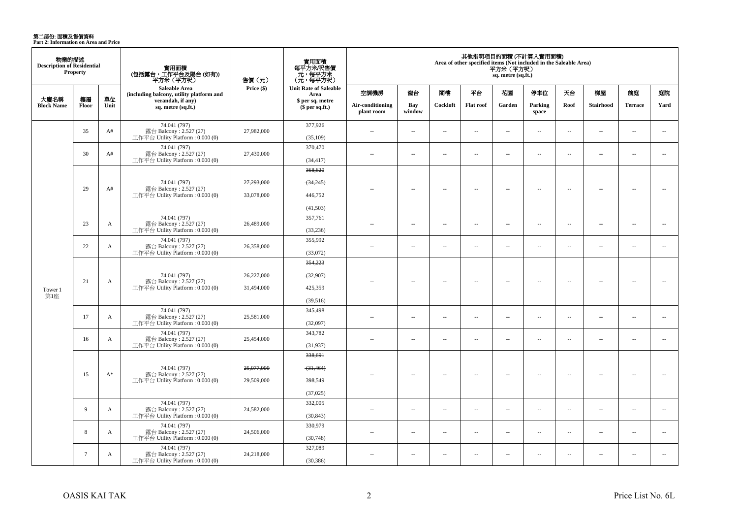**第二部份: 面積及售價資料**<br>Part 2: Information on Area and Price

| 物業的描述<br><b>Description of Residential</b> | <b>Property</b> |              | 實用面積<br>(包括露台,工作平台及陽台(如有))<br>平方米(平方呎)                                      | 售價 (元)                   | 實用面積<br>每平方米/呎售價<br>元,每平方米<br>(元,每平方呎) |                                |                          |                          |                          | 平方米(平方呎)<br>sq. metre (sq.ft.) | 其他指明項目的面積 (不計算入實用面積)<br>Area of other specified items (Not included in the Saleable Area) |                          |                          |                          |                          |
|--------------------------------------------|-----------------|--------------|-----------------------------------------------------------------------------|--------------------------|----------------------------------------|--------------------------------|--------------------------|--------------------------|--------------------------|--------------------------------|-------------------------------------------------------------------------------------------|--------------------------|--------------------------|--------------------------|--------------------------|
|                                            |                 |              | <b>Saleable Area</b><br>(including balcony, utility platform and            | Price (\$)               | <b>Unit Rate of Saleable</b><br>Area   | 空調機房                           | 窗台                       | 閣樓                       | 平台                       | 花園                             | 停車位                                                                                       | 天台                       | 梯屋                       | 前庭                       | 庭院                       |
| 大廈名稱<br><b>Block Name</b>                  | 樓層<br>Floor     | 單位<br>Unit   | verandah, if any)<br>sq. metre (sq.ft.)                                     |                          | \$ per sq. metre<br>\$per sq.ft.)      | Air-conditioning<br>plant room | Bay<br>window            | Cockloft                 | <b>Flat roof</b>         | Garden                         | Parking<br>space                                                                          | Roof                     | <b>Stairhood</b>         | <b>Terrace</b>           | Yard                     |
|                                            | 35              | A#           | 74.041 (797)<br>露台 Balcony: 2.527 (27)<br>工作平台 Utility Platform: 0.000 (0)  | 27,982,000               | 377,926<br>(35,109)                    | $\sim$                         | $\overline{\phantom{a}}$ | $\overline{\phantom{a}}$ | $\overline{\phantom{a}}$ | $\overline{\phantom{a}}$       | $\sim$                                                                                    | $\overline{\phantom{a}}$ | $\overline{\phantom{a}}$ | $\sim$                   | $\overline{\phantom{a}}$ |
|                                            | 30              | A#           | 74.041 (797)<br>露台 Balcony: 2.527 (27)<br>工作平台 Utility Platform: 0.000 (0)  | 27,430,000               | 370,470<br>(34, 417)                   | $\sim$ $\sim$                  | $\overline{\phantom{a}}$ | $\sim$                   | $\sim$                   | $\overline{\phantom{a}}$       | $\overline{\phantom{a}}$                                                                  | $\overline{\phantom{a}}$ | $\sim$                   | $\sim$                   | $\sim$                   |
|                                            |                 |              | 74.041 (797)                                                                | 27,293,000               | 368,620<br>$-34,245$                   |                                |                          |                          |                          |                                |                                                                                           |                          |                          |                          |                          |
|                                            | 29              | A#           | 露台 Balcony: 2.527 (27)<br>工作平台 Utility Platform: 0.000 (0)                  | 33,078,000               | 446,752<br>(41,503)                    |                                | $\sim$                   | $\sim$                   | $\sim$                   | $\sim$                         | $\sim$                                                                                    | $\overline{\phantom{a}}$ | $\sim$                   | $\sim$                   | $\sim$                   |
|                                            | 23              | $\mathbf{A}$ | 74.041 (797)<br>露台 Balcony: 2.527 (27)<br>工作平台 Utility Platform: 0.000 (0)  | 26,489,000               | 357,761<br>(33, 236)                   | $\sim$                         | $\sim$                   | $\sim$                   | $\overline{a}$           | $\sim$                         | $\overline{\phantom{a}}$                                                                  | $\overline{\phantom{a}}$ | $\sim$                   | $\sim$                   | $\overline{\phantom{a}}$ |
| Tower 1<br>第1座                             | 22              | $\mathbf{A}$ | 74.041 (797)<br>露台 Balcony: 2.527 (27)<br>工作平台 Utility Platform: 0.000 (0)  | 26,358,000               | 355,992<br>(33,072)                    | $\sim$ $\sim$                  | $\sim$                   | $\sim$                   | $\sim$                   | $\sim$                         | $\sim$                                                                                    | $\overline{\phantom{a}}$ | $\sim$                   | $\overline{a}$           | $\sim$                   |
|                                            | 21              | A            | 74.041 (797)<br>露台 Balcony: 2.527 (27)<br>工作平台 Utility Platform : 0.000 (0) | 26,227,000<br>31,494,000 | 354,223<br>(32,907)<br>425,359         | $\overline{\phantom{a}}$       | $\overline{\phantom{a}}$ | $\sim$                   | $\overline{\phantom{a}}$ | Ξ.                             | $\overline{\phantom{a}}$                                                                  | $\overline{\phantom{a}}$ | $\sim$                   | $\overline{\phantom{a}}$ | $\overline{\phantom{a}}$ |
|                                            | 17              | A            | 74.041 (797)<br>露台 Balcony: 2.527 (27)<br>工作平台 Utility Platform: 0.000 (0)  | 25,581,000               | (39,516)<br>345,498<br>(32,097)        | $\sim$                         | $\sim$                   | $\sim$                   | $\overline{\phantom{a}}$ | $\overline{\phantom{a}}$       | $\overline{\phantom{a}}$                                                                  | $\overline{\phantom{a}}$ | $\sim$                   | $\overline{\phantom{a}}$ | $\overline{\phantom{a}}$ |
|                                            | 16              | A            | 74.041 (797)<br>露台 Balcony: 2.527 (27)<br>工作平台 Utility Platform: 0.000 (0)  | 25,454,000               | 343,782<br>(31,937)                    | $\sim$                         | $\sim$                   | $\sim$                   | μ.                       | $\overline{\phantom{a}}$       | $\sim$                                                                                    | $\overline{\phantom{a}}$ | ÷.                       | $\overline{\phantom{a}}$ | $\overline{\phantom{a}}$ |
|                                            |                 |              | 74.041 (797)                                                                | 25,077,000               | 338,691<br>(31, 464)                   |                                |                          |                          |                          |                                |                                                                                           |                          |                          |                          |                          |
|                                            | 15              | $A^*$        | 露台 Balcony: 2.527 (27)<br>工作平台 Utility Platform: 0.000 (0)                  | 29,509,000               | 398,549<br>(37,025)                    | $-$                            | $\sim$                   | $\sim$                   | $\sim$                   | $\sim$                         | $\sim$                                                                                    | $\overline{\phantom{a}}$ | $\sim$                   | $\overline{\phantom{a}}$ | $\overline{\phantom{a}}$ |
|                                            | 9               | A            | 74.041 (797)<br>露台 Balcony: 2.527 (27)<br>工作平台 Utility Platform: 0.000 (0)  | 24,582,000               | 332,005<br>(30, 843)                   | $\sim$ $\sim$                  | $\sim$                   | $\sim$                   | $\sim$                   | $\sim$                         | $\sim$                                                                                    | $\sim$                   | $\sim$                   | $\overline{a}$           | $\sim$                   |
|                                            | 8               | A            | 74.041 (797)<br>露台 Balcony: 2.527 (27)<br>工作平台 Utility Platform: 0.000 (0)  | 24,506,000               | 330,979<br>(30,748)                    | $\sim$                         | $\sim$                   | $\sim$                   | $\sim$                   | $\sim$                         | $\sim$                                                                                    | $\overline{\phantom{a}}$ | $\sim$                   | $\overline{a}$           | $\sim$                   |
|                                            | $7\phantom{.0}$ | A            | 74.041 (797)<br>露台 Balcony: 2.527 (27)<br>工作平台 Utility Platform : 0.000 (0) | 24,218,000               | 327,089<br>(30, 386)                   | $\overline{a}$                 | $\sim$                   | $\sim$                   | $\overline{\phantom{a}}$ | $\overline{\phantom{a}}$       | $\sim$                                                                                    | $\sim$                   | ÷.                       | $\sim$                   | $\overline{\phantom{a}}$ |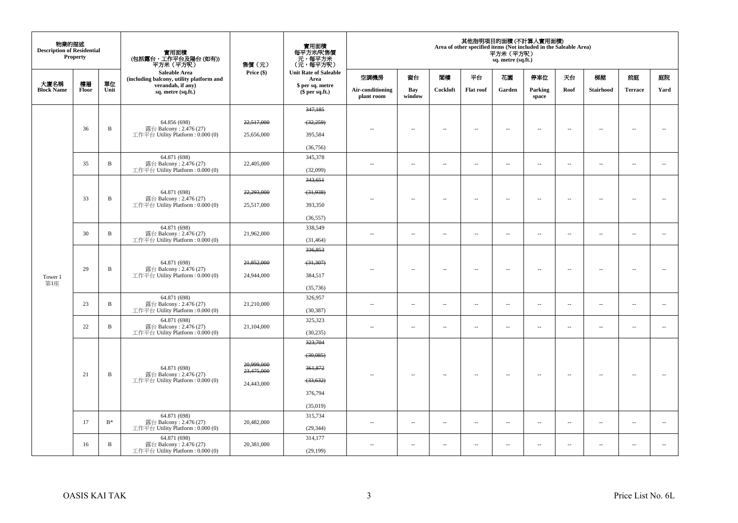| 物業的描述<br><b>Description of Residential</b> | <b>Property</b> |                | 實用面積<br>(包括露台,工作平台及陽台 (如有))<br>平方米(平方呎)                                    | 售價(元)                                            | 實用面積<br>每平方米/呎售價<br>一元,每平方米<br>(元,每平方米) |                                |                          |                          |                          | 平方米 (平方呎)<br>sq. metre (sq.ft.) | 其他指明項目的面積 (不計算入實用面積)<br>Area of other specified items (Not included in the Saleable Area) |                          |                          |                          |                          |
|--------------------------------------------|-----------------|----------------|----------------------------------------------------------------------------|--------------------------------------------------|-----------------------------------------|--------------------------------|--------------------------|--------------------------|--------------------------|---------------------------------|-------------------------------------------------------------------------------------------|--------------------------|--------------------------|--------------------------|--------------------------|
| 大廈名稱                                       | 樓層              | 單位             | Saleable Area<br>(including balcony, utility platform and                  | Price (\$)                                       | <b>Unit Rate of Saleable</b><br>Area    | 空調機房                           | 窗台                       | 閣樓                       | 平台                       | 花園                              | 停車位                                                                                       | 天台                       | 梯屋                       | 前庭                       | 庭院                       |
| <b>Block Name</b>                          | Floor           | Unit           | verandah, if any)<br>sq. metre (sq.ft.)                                    |                                                  | \$ per sq. metre<br>$$$ per sq.ft.)     | Air-conditioning<br>plant room | Bay<br>window            | Cockloft                 | <b>Flat roof</b>         | Garden                          | Parking<br>space                                                                          | Roof                     | Stairhood                | <b>Terrace</b>           | Yard                     |
|                                            |                 |                |                                                                            |                                                  | 347,185                                 |                                |                          |                          |                          |                                 |                                                                                           |                          |                          |                          |                          |
|                                            |                 |                | 64.856 (698)                                                               | 22,517,000                                       | (32, 259)                               |                                |                          |                          |                          |                                 |                                                                                           |                          |                          |                          |                          |
|                                            | 36              | B              | 露台 Balcony: 2.476 (27)<br>工作平台 Utility Platform : 0.000 (0)                | 25,656,000                                       | 395,584                                 |                                | $\overline{\phantom{a}}$ | $\sim$                   | $\overline{\phantom{a}}$ | $\overline{\phantom{a}}$        | $\sim$                                                                                    | $\sim$                   | $\overline{\phantom{a}}$ | $\sim$                   | $\sim$                   |
|                                            |                 |                |                                                                            |                                                  | (36, 756)                               |                                |                          |                          |                          |                                 |                                                                                           |                          |                          |                          |                          |
|                                            |                 |                | 64.871 (698)                                                               |                                                  | 345,378                                 |                                |                          |                          |                          |                                 |                                                                                           |                          |                          |                          |                          |
|                                            | 35              | $\, {\bf B}$   | 露台 Balcony: $2.476(27)$<br>工作平台 Utility Platform: 0.000 (0)                | 22,405,000                                       | (32,099)                                | ٠.                             | $\overline{\phantom{a}}$ | $\overline{\phantom{a}}$ | $\overline{\phantom{a}}$ | $\overline{\phantom{a}}$        | $\overline{\phantom{a}}$                                                                  | $\overline{\phantom{a}}$ | $\overline{\phantom{a}}$ | $\overline{\phantom{a}}$ | $\overline{\phantom{a}}$ |
|                                            |                 |                |                                                                            |                                                  | 343,651                                 |                                |                          |                          |                          |                                 |                                                                                           |                          |                          |                          |                          |
|                                            |                 |                | 64.871 (698)                                                               | 22,293,000                                       | (31,938)                                |                                |                          |                          |                          |                                 |                                                                                           |                          |                          |                          |                          |
|                                            | 33              | $\, {\bf B}$   | 露台 Balcony: 2.476 (27)<br>工作平台 Utility Platform : 0.000 (0)                | 25,517,000                                       | 393,350                                 |                                | $\overline{\phantom{a}}$ | $\sim$                   | $\overline{\phantom{a}}$ | $\overline{\phantom{a}}$        | $\sim$                                                                                    | $\overline{\phantom{a}}$ | $\overline{\phantom{a}}$ | $\sim$                   | $\sim$                   |
|                                            |                 |                |                                                                            |                                                  | (36, 557)                               |                                |                          |                          |                          |                                 |                                                                                           |                          |                          |                          |                          |
|                                            | 30              | $\, {\bf B}$   | 64.871 (698)<br>露台 Balcony: 2.476 (27)                                     | 21,962,000                                       | 338,549                                 | $\sim$                         | $\sim$                   | $\sim$                   | $\sim$                   | $\overline{a}$                  | $\sim$                                                                                    | $\sim$                   | $\sim$                   | $\sim$                   | $\sim$                   |
|                                            |                 |                | 工作平台 Utility Platform : 0.000 (0)                                          |                                                  | (31, 464)                               |                                |                          |                          |                          |                                 |                                                                                           |                          |                          |                          |                          |
|                                            |                 |                | 64.871 (698)<br>露台 Balcony: 2.476 (27)<br>工作平台 Utility Platform: 0.000 (0) |                                                  | 336,853                                 |                                |                          |                          |                          |                                 |                                                                                           |                          |                          |                          |                          |
|                                            | 29              | $\, {\bf B}$   |                                                                            | 21,852,000<br>$-31,307$<br>384,517<br>24,944,000 |                                         | ٠.                             |                          | $\overline{\phantom{a}}$ | $\sim$                   |                                 | $\sim$                                                                                    | $\overline{\phantom{a}}$ | $\sim$                   | $\bar{a}$                | $\sim$                   |
| Tower 1                                    |                 |                |                                                                            |                                                  |                                         | $\overline{\phantom{a}}$       |                          |                          | $\overline{\phantom{a}}$ |                                 |                                                                                           |                          |                          |                          |                          |
| 第1座                                        |                 |                |                                                                            |                                                  | (35, 736)                               |                                |                          |                          |                          |                                 |                                                                                           |                          |                          |                          |                          |
|                                            | 23              | $\, {\bf B}$   | 64.871 (698)<br>露台 Balcony: 2.476 (27)                                     | 21,210,000                                       | 326,957                                 | ٠.                             | --                       | $\sim$                   | $\sim$                   | $\overline{\phantom{a}}$        | $\sim$                                                                                    | $\overline{\phantom{a}}$ | $\overline{\phantom{a}}$ | $\sim$                   | $\sim$                   |
|                                            |                 |                | 工作平台 Utility Platform: 0.000 (0)                                           |                                                  | (30, 387)                               |                                |                          |                          |                          |                                 |                                                                                           |                          |                          |                          |                          |
|                                            | 22              | $\, {\bf B}$   | 64.871 (698)<br>露台 Balcony: 2.476 (27)                                     | 21,104,000                                       | 325,323                                 | $\sim$                         | $\overline{a}$           | $\sim$                   | $\sim$                   | $\sim$                          | $\sim$                                                                                    | $\sim$                   | $\overline{\phantom{a}}$ | $\sim$                   | $\sim$                   |
|                                            |                 |                | 工作平台 Utility Platform: 0.000 (0)                                           |                                                  | (30, 235)                               |                                |                          |                          |                          |                                 |                                                                                           |                          |                          |                          |                          |
|                                            |                 |                |                                                                            |                                                  | 323,704                                 |                                |                          |                          |                          |                                 |                                                                                           |                          |                          |                          |                          |
|                                            |                 |                |                                                                            |                                                  | (30,085)                                |                                |                          |                          |                          |                                 |                                                                                           |                          |                          |                          |                          |
|                                            | 21              | $\, {\bf B}$   | 64.871 (698)<br>露台 Balcony: 2.476 (27)                                     | 20,999,000<br>23,475,000                         | 361,872                                 | $-$                            | $\overline{\phantom{a}}$ | $\sim$                   | $\overline{\phantom{a}}$ | $\overline{\phantom{a}}$        | $\overline{\phantom{a}}$                                                                  | $\overline{\phantom{a}}$ | $\overline{\phantom{a}}$ | $\overline{\phantom{a}}$ | $\sim$                   |
|                                            |                 |                | 工作平台 Utility Platform: 0.000 (0)                                           | 24,443,000                                       | (33, 632)                               |                                |                          |                          |                          |                                 |                                                                                           |                          |                          |                          |                          |
|                                            |                 |                |                                                                            |                                                  | 376,794                                 |                                |                          |                          |                          |                                 |                                                                                           |                          |                          |                          |                          |
|                                            |                 |                |                                                                            |                                                  | (35,019)                                |                                |                          |                          |                          |                                 |                                                                                           |                          |                          |                          |                          |
|                                            |                 |                | 64.871 (698)                                                               |                                                  | 315,734                                 |                                |                          |                          |                          |                                 |                                                                                           |                          |                          |                          |                          |
|                                            | 17              | $\mathbf{B}^*$ | 露台 Balcony: 2.476 (27)<br>工作平台 Utility Platform: 0.000 (0)                 | 20,482,000                                       | (29, 344)                               | $\sim$                         | $\overline{\phantom{a}}$ | $\sim$                   | $\overline{\phantom{a}}$ | $\ldots$                        | $\sim$                                                                                    | $\overline{\phantom{a}}$ | $\overline{\phantom{a}}$ | $\overline{\phantom{a}}$ | $\overline{\phantom{a}}$ |
|                                            | 16              | $\, {\bf B}$   | 64.871 (698)<br>露台 Balcony: 2.476 (27)                                     | 20,381,000                                       | 314,177                                 | ÷.                             | $\overline{\phantom{a}}$ | $\sim$                   | $\sim$                   | $\overline{a}$                  | $\sim$                                                                                    | $\sim$                   | $\overline{\phantom{a}}$ | $\sim$                   | $\sim$                   |
|                                            |                 |                | 工作平台 Utility Platform: 0.000 (0)                                           |                                                  | (29, 199)                               |                                |                          |                          |                          |                                 |                                                                                           |                          |                          |                          |                          |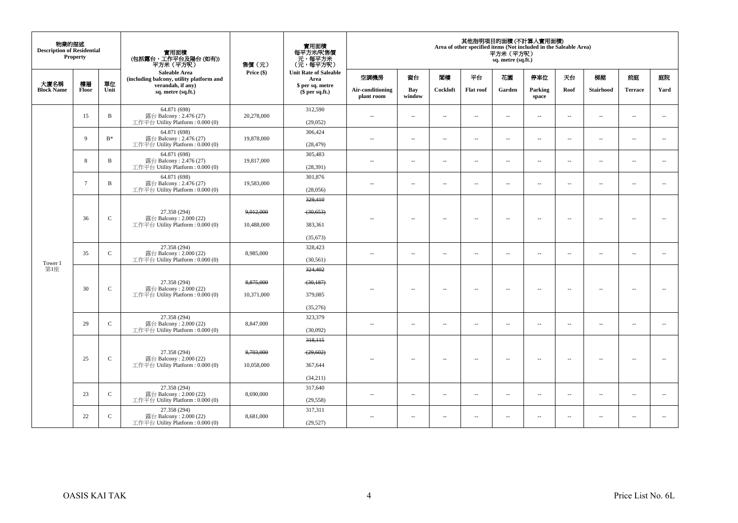| 物業的描述<br><b>Description of Residential</b> | <b>Property</b> |               | 實用面積<br>(包括露台,工作平台及陽台 (如有))<br>平方米(平方呎)                                      | 售價(元)                   | 實用面積<br>每平方米/呎售價<br>、元,每平方米<br>(元,每平方呎)    |                                |                          |                          |                          | 平方米(平方呎)<br>sq. metre (sq.ft.) | 其他指明項目的面積 (不計算入實用面積)<br>Area of other specified items (Not included in the Saleable Area) |                          |                          |                          |                          |
|--------------------------------------------|-----------------|---------------|------------------------------------------------------------------------------|-------------------------|--------------------------------------------|--------------------------------|--------------------------|--------------------------|--------------------------|--------------------------------|-------------------------------------------------------------------------------------------|--------------------------|--------------------------|--------------------------|--------------------------|
|                                            |                 |               | Saleable Area<br>(including balcony, utility platform and                    | Price (\$)              | <b>Unit Rate of Saleable</b><br>Area       | 空調機房                           | 窗台                       | 関樓                       | 平台                       | 花園                             | 停車位                                                                                       | 天台                       | 梯屋                       | 前庭                       | 庭院                       |
| 大廈名稱<br><b>Block Name</b>                  | 樓層<br>Floor     | 單位<br>Unit    | verandah, if any)<br>sq. metre (sq.ft.)                                      |                         | \$ per sq. metre<br>\$per sq.ft.)          | Air-conditioning<br>plant room | Bay<br>window            | Cockloft                 | <b>Flat roof</b>         | Garden                         | Parking<br>space                                                                          | Roof                     | <b>Stairhood</b>         | <b>Terrace</b>           | Yard                     |
|                                            | 15              | $\mathbf B$   | 64.871 (698)<br>露台 Balcony: 2.476 (27)<br>工作平台 Utility Platform: 0.000 (0)   | 20,278,000              | 312,590<br>(29,052)                        | $\overline{a}$                 | $\overline{a}$           | $\sim$                   | $\sim$                   | $\sim$                         | $\sim$                                                                                    | $\overline{\phantom{a}}$ | $\sim$                   | $\sim$                   | $\sim$                   |
|                                            | 9               | $B*$          | 64.871 (698)<br>露台 Balcony: 2.476 (27)<br>工作平台 Utility Platform : $0.000(0)$ | 19,878,000              | 306,424<br>(28, 479)                       | $\sim$ $-$                     | $\overline{\phantom{a}}$ | $\sim$                   | $\overline{\phantom{a}}$ | μ.                             | $\overline{\phantom{a}}$                                                                  | $\overline{\phantom{a}}$ | $\overline{\phantom{a}}$ | $\overline{\phantom{a}}$ | $\overline{\phantom{a}}$ |
|                                            | 8               | B             | 64.871 (698)<br>露台 Balcony: 2.476 (27)<br>工作平台 Utility Platform : $0.000(0)$ | 19,817,000              | 305,483<br>(28, 391)                       | $\sim$ $-$                     | $\overline{\phantom{a}}$ | $\sim$                   | $\overline{a}$           | $\overline{\phantom{a}}$       | $\overline{\phantom{a}}$                                                                  | $\overline{\phantom{a}}$ | $\overline{\phantom{a}}$ | $\sim$                   | $\overline{\phantom{a}}$ |
|                                            | $7\overline{ }$ | B             | 64.871 (698)<br>露台 Balcony: 2.476 (27)<br>工作平台 Utility Platform: 0.000 (0)   | 19,583,000              | 301,876<br>(28,056)                        | $\overline{\phantom{a}}$       | $\sim$                   | $\sim$                   | $\overline{\phantom{a}}$ | μ.                             | $\overline{\phantom{a}}$                                                                  | $\overline{\phantom{a}}$ | $\overline{\phantom{a}}$ | $\overline{\phantom{a}}$ | $\overline{\phantom{a}}$ |
|                                            | 36              | $\mathcal{C}$ | 27.358 (294)<br>露台 Balcony: 2.000 (22)<br>工作平台 Utility Platform : $0.000(0)$ | 9,012,000<br>10,488,000 | 329,410<br>(30,653)<br>383.361             | ×.                             | $\sim$                   | $\sim$                   | $\sim$                   | $\sim$                         | $\sim$                                                                                    | $\overline{\phantom{a}}$ | $\sim$                   | $\sim$                   | $\sim$                   |
|                                            | 35              | $\mathbf{C}$  | 27.358 (294)<br>露台 Balcony: 2.000 (22)<br>工作平台 Utility Platform : $0.000(0)$ | 8,985,000               | (35, 673)<br>328,423<br>(30, 561)          | $-$                            | $\overline{\phantom{a}}$ | $\sim$                   | $\sim$                   | $\overline{\phantom{a}}$       | $\sim$                                                                                    | $\overline{\phantom{a}}$ | $\overline{\phantom{a}}$ | $\sim$                   | $\sim$                   |
| Tower 1<br>第1座                             | 30              | $\mathsf{C}$  | 27.358 (294)<br>露台 Balcony: 2.000 (22)                                       | 8,875,000               | 324,402<br>(30, 187)                       | $\sim$                         | $\overline{\phantom{a}}$ | $\sim$                   | $\sim$                   | $\sim$                         | $\sim$                                                                                    | $\overline{\phantom{a}}$ | $\sim$                   | $\sim$                   | $\overline{\phantom{a}}$ |
|                                            |                 |               | 工作平台 Utility Platform : $0.000(0)$                                           | 10,371,000              | 379,085<br>(35, 276)                       |                                |                          |                          |                          |                                |                                                                                           |                          |                          |                          |                          |
|                                            | 29              | $\mathbf{C}$  | 27.358 (294)<br>露台 Balcony: 2.000 (22)<br>工作平台 Utility Platform: 0.000 (0)   | 8,847,000               | 323,379<br>(30,092)                        | $\sim$ $\sim$                  | $\overline{\phantom{a}}$ | $\overline{\phantom{a}}$ | $\sim$                   | $\overline{a}$                 | $\sim$                                                                                    | $\overline{\phantom{a}}$ | $\overline{\phantom{a}}$ | $\sim$                   | $\sim$                   |
|                                            | 25              | $\mathsf{C}$  | 27.358 (294)<br>露台 Balcony: 2.000 (22)<br>工作平台 Utility Platform : $0.000(0)$ | 8,703,000<br>10,058,000 | 318,115<br>(29,602)<br>367,644<br>(34,211) |                                | $\overline{a}$           | $\overline{\phantom{a}}$ |                          | Ξ.                             | $\sim$                                                                                    | $\sim$                   | $\overline{\phantom{a}}$ |                          | $\sim$                   |
|                                            | 23              | $\mathbf{C}$  | 27.358 (294)<br>露台 Balcony: 2.000 (22)<br>工作平台 Utility Platform : $0.000(0)$ | 8,690,000               | 317,640<br>(29, 558)                       | $\sim$ $\sim$                  | $\sim$                   | $\sim$                   | $\sim$                   | $\sim$                         | $\sim$                                                                                    | $\overline{\phantom{a}}$ | $\sim$                   | $\sim$                   | $\overline{\phantom{a}}$ |
|                                            | 22              | $\mathbf{C}$  | 27.358 (294)<br>露台 Balcony: 2.000 (22)<br>工作平台 Utility Platform : 0.000 (0)  | 8,681,000               | 317,311<br>(29.527)                        | $\sim$                         | $\sim$                   | $\sim$                   | $\sim$                   | $\sim$                         | $\sim$                                                                                    | $\sim$                   | $\sim$                   | $\sim$                   | $\sim$                   |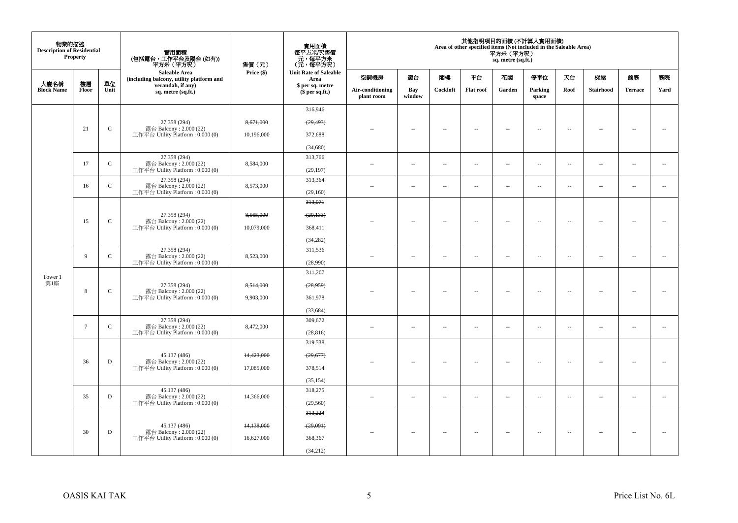| 物業的描述<br><b>Description of Residential</b> | <b>Property</b> |              | 實用面積                                                             | 售價 (元)     | 實用面積<br>每平方米/呎售價<br>一元,每平方米<br>(元,每平方米) |                                |                          |                          |                          | 平方米(平方呎)<br>sq. metre (sq.ft.) | 其他指明項目的面積 (不計算入實用面積)<br>Area of other specified items (Not included in the Saleable Area) |                          |                          |                          |                          |
|--------------------------------------------|-----------------|--------------|------------------------------------------------------------------|------------|-----------------------------------------|--------------------------------|--------------------------|--------------------------|--------------------------|--------------------------------|-------------------------------------------------------------------------------------------|--------------------------|--------------------------|--------------------------|--------------------------|
|                                            |                 |              | <b>Saleable Area</b><br>(including balcony, utility platform and | Price (\$) | <b>Unit Rate of Saleable</b><br>Area    | 空調機房                           | 窗台                       | 閣樓                       | 平台                       | 花園                             | 停車位                                                                                       | 天台                       | 梯屋                       | 前庭                       | 庭院                       |
| 大廈名稱<br><b>Block Name</b>                  | 樓層<br>Floor     | 單位<br>Unit   | verandah, if any)<br>sq. metre (sq.ft.)                          |            | \$ per sq. metre<br>$$$ per sq.ft.)     | Air-conditioning<br>plant room | Bay<br>window            | Cockloft                 | <b>Flat roof</b>         | Garden                         | Parking<br>space                                                                          | Roof                     | Stairhood                | <b>Terrace</b>           | Yard                     |
|                                            |                 |              |                                                                  |            | 316,946                                 |                                |                          |                          |                          |                                |                                                                                           |                          |                          |                          |                          |
|                                            |                 |              | 27.358 (294)                                                     | 8,671,000  | (29, 493)                               |                                |                          |                          |                          |                                |                                                                                           |                          |                          |                          |                          |
|                                            | 21              | $\mathsf C$  | 露台 Balcony: 2.000 (22)<br>工作平台 Utility Platform : 0.000 (0)      | 10,196,000 | 372,688                                 |                                | $\overline{\phantom{a}}$ | $\sim$                   | $\overline{\phantom{a}}$ | $\overline{\phantom{a}}$       | $\sim$                                                                                    | $\overline{\phantom{a}}$ | $\sim$                   | $\sim$                   | ÷.                       |
|                                            |                 |              |                                                                  |            | (34,680)                                |                                |                          |                          |                          |                                |                                                                                           |                          |                          |                          |                          |
|                                            |                 |              | 27.358 (294)                                                     |            | 313,766                                 |                                |                          |                          |                          |                                |                                                                                           |                          |                          |                          |                          |
|                                            | 17              | $\mathbf C$  | 露台 Balcony: 2.000 (22)<br>工作平台 Utility Platform: 0.000 (0)       | 8,584,000  | (29, 197)                               | ٠.                             | $\overline{\phantom{a}}$ | $\sim$                   | $\sim$                   | $\overline{\phantom{a}}$       | $\sim$                                                                                    | $\overline{\phantom{a}}$ | $\overline{\phantom{a}}$ | $\sim$                   | $\sim$                   |
|                                            | 16              | $\mathbf C$  | 27.358 (294)<br>露台 Balcony: 2.000 (22)                           | 8,573,000  | 313,364                                 | ÷.                             |                          | $\sim$                   | $\sim$                   | $\overline{\phantom{a}}$       | $\sim$                                                                                    |                          | $\overline{\phantom{a}}$ | $\sim$                   | $\sim$                   |
|                                            |                 |              | 工作平台 Utility Platform: 0.000 (0)                                 |            | (29, 160)                               |                                | $\overline{\phantom{a}}$ |                          |                          |                                |                                                                                           | $\overline{\phantom{a}}$ |                          |                          |                          |
|                                            |                 |              |                                                                  |            | 313,071                                 |                                |                          |                          |                          |                                |                                                                                           |                          |                          |                          |                          |
|                                            | 15              | $\mathsf{C}$ | 27.358 (294)<br>露台 Balcony: 2.000 (22)                           | 8,565,000  | (29, 133)                               |                                | $\overline{\phantom{a}}$ | $\sim$                   |                          | $\overline{\phantom{a}}$       | $\sim$                                                                                    |                          | $\sim$                   |                          | $\overline{\phantom{a}}$ |
|                                            |                 |              | 工作平台 Utility Platform: 0.000 (0)                                 | 10,079,000 | 368,411                                 |                                |                          |                          | $\overline{\phantom{a}}$ |                                |                                                                                           | $\overline{\phantom{a}}$ |                          | $\overline{\phantom{a}}$ |                          |
|                                            |                 |              |                                                                  |            | (34, 282)                               |                                |                          |                          |                          |                                |                                                                                           |                          |                          |                          |                          |
|                                            | 9               | $\mathbf C$  | 27.358 (294)<br>露台 Balcony: 2.000 (22)                           | 8,523,000  | 311,536                                 |                                |                          |                          |                          |                                |                                                                                           |                          |                          |                          |                          |
|                                            |                 |              | 工作平台 Utility Platform : 0.000 (0)                                |            | (28,990)                                | $\sim$ $\sim$                  | μ.                       | $\sim$                   | $\sim$                   | $\overline{\phantom{a}}$       | $\sim$                                                                                    | $\overline{\phantom{a}}$ | $\sim$                   | $\sim$                   | $\overline{\phantom{a}}$ |
| Tower 1                                    |                 |              |                                                                  |            | 311,207                                 |                                |                          |                          |                          |                                |                                                                                           |                          |                          |                          |                          |
| 第1座                                        |                 |              | 27.358 (294)                                                     | 8,514,000  | (28, 959)                               |                                |                          |                          |                          |                                |                                                                                           |                          |                          |                          |                          |
|                                            | 8               | $\mathsf{C}$ | 露台 Balcony: 2.000 (22)<br>工作平台 Utility Platform: 0.000 (0)       | 9,903,000  | 361,978                                 |                                | $\overline{\phantom{a}}$ | $\overline{\phantom{a}}$ | $\overline{\phantom{a}}$ | $\overline{\phantom{a}}$       | $\sim$                                                                                    | $\overline{\phantom{a}}$ | $\overline{\phantom{a}}$ | $\bar{a}$                | $\overline{\phantom{a}}$ |
|                                            |                 |              |                                                                  |            | (33, 684)                               |                                |                          |                          |                          |                                |                                                                                           |                          |                          |                          |                          |
|                                            |                 |              | 27.358 (294)                                                     |            | 309,672                                 |                                |                          |                          |                          |                                |                                                                                           |                          |                          |                          |                          |
|                                            | $\tau$          | $\mathbf C$  | 露台 Balcony: 2.000 (22)<br>工作平台 Utility Platform: 0.000 (0)       | 8,472,000  | (28, 816)                               | $\sim$ $\sim$                  | $\sim$                   | $\sim$                   | $\sim$                   | $\sim$                         | $\sim$                                                                                    | $\sim$                   | $\sim$                   | $\sim$                   | $\overline{\phantom{a}}$ |
|                                            |                 |              |                                                                  |            | 319,538                                 |                                |                          |                          |                          |                                |                                                                                           |                          |                          |                          |                          |
|                                            |                 |              | 45.137 (486)                                                     | 14,423,000 | (29,677)                                |                                |                          |                          |                          |                                |                                                                                           |                          |                          |                          |                          |
|                                            | 36              | $\mathbf D$  | 露台 Balcony: 2.000 (22)<br>工作平台 Utility Platform : 0.000 (0)      | 17,085,000 | 378,514                                 |                                | $\overline{a}$           | $\sim$                   | $\sim$                   | $\sim$                         | $\sim$                                                                                    | $\sim$                   | $\sim$                   |                          |                          |
|                                            |                 |              |                                                                  |            | (35, 154)                               |                                |                          |                          |                          |                                |                                                                                           |                          |                          |                          |                          |
|                                            |                 |              | 45.137 (486)                                                     |            | 318,275                                 |                                |                          |                          |                          |                                |                                                                                           |                          |                          |                          |                          |
|                                            | 35              | D            | 露台 Balcony: 2.000 (22)<br>工作平台 Utility Platform: 0.000 (0)       | 14,366,000 | (29, 560)                               | ٠.                             | $\overline{\phantom{a}}$ | $\overline{\phantom{a}}$ | $\overline{\phantom{a}}$ | $\overline{\phantom{a}}$       | $\overline{\phantom{a}}$                                                                  | $\overline{\phantom{a}}$ | $\overline{\phantom{a}}$ | $\overline{\phantom{a}}$ | $\overline{\phantom{a}}$ |
|                                            |                 |              |                                                                  |            | 313,224                                 |                                |                          |                          |                          |                                |                                                                                           |                          |                          |                          |                          |
|                                            |                 |              | 45.137 (486)                                                     | 14,138,000 | (29,091)                                |                                | $\sim$                   |                          |                          |                                |                                                                                           |                          |                          |                          |                          |
|                                            | 30              | ${\bf D}$    | 露台 Balcony: 2.000 (22)<br>工作平台 Utility Platform: 0.000 (0)       | 16,627,000 | 368,367                                 | $-$                            |                          | $\sim$                   | $\sim$                   |                                | $\sim$                                                                                    | $\sim$                   | $\overline{\phantom{a}}$ | $\sim$                   | $\sim$                   |
|                                            |                 |              |                                                                  |            | (34,212)                                |                                |                          |                          |                          |                                |                                                                                           |                          |                          |                          |                          |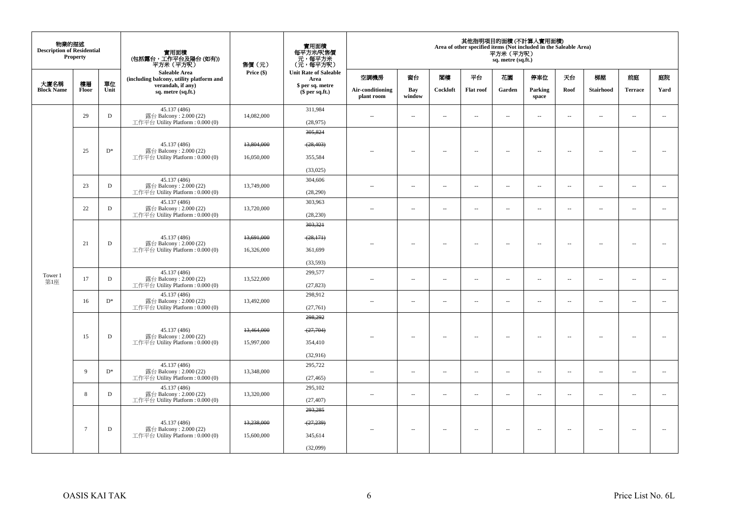| 物業的描述<br><b>Description of Residential</b> | <b>Property</b> |            | 實用面積<br>(包括露台,工作平台及陽台 (如有))<br>平方米(平方呎)                                    | 售價(元)      | 實用面積<br>每平方米/呎售價<br>- 元, 每平方米<br>(元, 每平方米) |                                |                          |                          |                          | 平方米 (平方呎)<br>sq. metre (sq.ft.) | 其他指明項目的面積 (不計算入實用面積)<br>Area of other specified items (Not included in the Saleable Area) |                          |                          |                          |                          |
|--------------------------------------------|-----------------|------------|----------------------------------------------------------------------------|------------|--------------------------------------------|--------------------------------|--------------------------|--------------------------|--------------------------|---------------------------------|-------------------------------------------------------------------------------------------|--------------------------|--------------------------|--------------------------|--------------------------|
|                                            |                 |            | <b>Saleable Area</b><br>(including balcony, utility platform and           | Price (\$) | <b>Unit Rate of Saleable</b><br>Area       | 空調機房                           | 窗台                       | 閣樓                       | 平台                       | 花園                              | 停車位                                                                                       | 天台                       | 梯屋                       | 前庭                       | 庭院                       |
| 大廈名稱<br><b>Block Name</b>                  | 樓層<br>Floor     | 單位<br>Unit | verandah, if any)<br>sq. metre (sq.ft.)                                    |            | \$ per sq. metre<br>\$per sq.ft.)          | Air-conditioning<br>plant room | Bay<br>window            | Cockloft                 | Flat roof                | Garden                          | Parking<br>space                                                                          | Roof                     | <b>Stairhood</b>         | <b>Terrace</b>           | Yard                     |
|                                            | 29              | D          | 45.137 (486)<br>露台 Balcony: 2.000 (22)<br>工作平台 Utility Platform: 0.000 (0) | 14,082,000 | 311,984<br>(28,975)                        | $\sim$                         | $\overline{a}$           | $\sim$                   | $\sim$                   | $\overline{a}$                  | $\sim$                                                                                    | $\sim$                   | $\sim$                   | $\sim$                   | $\sim$                   |
|                                            |                 |            |                                                                            |            | 305,824                                    |                                |                          |                          |                          |                                 |                                                                                           |                          |                          |                          |                          |
|                                            | 25              | $D^*$      | 45.137 (486)                                                               | 13,804,000 | (28, 403)                                  |                                |                          |                          |                          |                                 |                                                                                           |                          |                          |                          | $\sim$                   |
|                                            |                 |            | 露台 Balcony: 2.000 (22)<br>工作平台 Utility Platform: 0.000 (0)                 | 16,050,000 | 355,584                                    |                                | $\overline{\phantom{a}}$ | $\sim$                   | $\sim$                   | $\overline{a}$                  | $\sim$                                                                                    | $\overline{\phantom{a}}$ | $\sim$                   | $\overline{\phantom{a}}$ |                          |
|                                            |                 |            |                                                                            |            | (33,025)                                   |                                |                          |                          |                          |                                 |                                                                                           |                          |                          |                          |                          |
|                                            |                 |            | 45.137 (486)                                                               |            | 304,606                                    |                                |                          |                          |                          |                                 |                                                                                           |                          |                          |                          |                          |
|                                            | 23              | D          | 露台 Balcony: 2.000 (22)<br>工作平台 Utility Platform : $0.000(0)$               | 13,749,000 | (28, 290)                                  | $\sim$                         | $\ldots$                 | $\sim$                   | $\overline{\phantom{a}}$ | $\ldots$                        | $\sim$                                                                                    | $\overline{\phantom{a}}$ | $\overline{\phantom{a}}$ | $\overline{\phantom{a}}$ | $\overline{\phantom{a}}$ |
|                                            | 22              | D          | 45.137 (486)<br>露台 Balcony: 2.000 (22)                                     | 13,720,000 | 303,963                                    | $\sim$                         | $\overline{\phantom{a}}$ | $\overline{\phantom{a}}$ | $\overline{\phantom{a}}$ | $\overline{\phantom{a}}$        | $\overline{\phantom{a}}$                                                                  | $\ddotsc$                | $\overline{\phantom{a}}$ | $\overline{\phantom{a}}$ | $\sim$                   |
|                                            |                 |            | 工作平台 Utility Platform : $0.000(0)$                                         |            | (28, 230)                                  |                                |                          |                          |                          |                                 |                                                                                           |                          |                          |                          |                          |
|                                            |                 |            |                                                                            |            | 303,321                                    |                                |                          |                          |                          |                                 |                                                                                           |                          |                          |                          |                          |
|                                            | 21              | D          | 45.137 (486)<br>露台 Balcony: 2.000 (22)                                     | 13,691,000 | (28,171)                                   |                                | $\overline{\phantom{a}}$ | $\sim$                   | $\overline{\phantom{a}}$ | $\overline{\phantom{a}}$        | $\sim$                                                                                    | $\overline{\phantom{a}}$ | $\sim$                   | $\bar{a}$                | $\sim$                   |
|                                            |                 |            | 工作平台 Utility Platform: 0.000 (0)                                           | 16,326,000 | 361,699                                    |                                |                          |                          |                          |                                 |                                                                                           |                          |                          |                          |                          |
|                                            |                 |            |                                                                            |            | (33,593)                                   |                                |                          |                          |                          |                                 |                                                                                           |                          |                          |                          |                          |
| Tower 1                                    | 17              | D          | 45.137 (486)<br>露台 Balcony: 2.000 (22)                                     | 13,522,000 | 299,577                                    | $\sim$                         | $\overline{\phantom{a}}$ | $\sim$                   | $\overline{\phantom{a}}$ | $\overline{\phantom{a}}$        | $\sim$                                                                                    | $\overline{\phantom{a}}$ | $\sim$                   | $\sim$                   | $\overline{\phantom{a}}$ |
| 第1座                                        |                 |            | 工作平台 Utility Platform: 0.000 (0)                                           |            | (27, 823)                                  |                                |                          |                          |                          |                                 |                                                                                           |                          |                          |                          |                          |
|                                            | 16              | $D^*$      | 45.137 (486)<br>露台 Balcony: 2.000 (22)                                     | 13,492,000 | 298.912                                    | $\sim$                         | $\overline{\phantom{a}}$ | $\overline{\phantom{a}}$ | $\overline{\phantom{a}}$ | $\overline{\phantom{a}}$        | $\overline{\phantom{a}}$                                                                  | $\overline{\phantom{a}}$ | $\overline{\phantom{a}}$ | $\ddotsc$                | $\overline{\phantom{a}}$ |
|                                            |                 |            | 工作平台 Utility Platform: 0.000 (0)                                           |            | (27,761)                                   |                                |                          |                          |                          |                                 |                                                                                           |                          |                          |                          |                          |
|                                            |                 |            |                                                                            |            | 298,292                                    |                                |                          |                          |                          |                                 |                                                                                           |                          |                          |                          |                          |
|                                            | 15              | D          | 45.137 (486)<br>露台 Balcony: 2.000 (22)                                     | 13,464,000 | (27,704)                                   |                                | $\sim$                   | $\sim$                   | $\sim$                   | $\sim$                          | $\sim$                                                                                    | $\sim$                   | $\sim$                   | $\sim$                   | $\sim$                   |
|                                            |                 |            | 工作平台 Utility Platform : $0.000(0)$                                         | 15,997,000 | 354,410                                    |                                |                          |                          |                          |                                 |                                                                                           |                          |                          |                          |                          |
|                                            |                 |            |                                                                            |            | (32,916)                                   |                                |                          |                          |                          |                                 |                                                                                           |                          |                          |                          |                          |
|                                            | 9               | $D^*$      | 45.137 (486)<br>露台 Balcony: 2.000 (22)                                     | 13,348,000 | 295,722                                    | $\sim$                         | $\sim$                   | $\sim$                   | $\sim$                   | $\sim$                          | $\sim$                                                                                    | $\overline{\phantom{a}}$ | $\sim$                   | $\sim$                   | $\sim$                   |
|                                            |                 |            | 工作平台 Utility Platform: 0.000 (0)                                           |            | (27, 465)                                  |                                |                          |                          |                          |                                 |                                                                                           |                          |                          |                          |                          |
|                                            | 8               | D          | 45.137 (486)<br>露台 Balcony: 2.000 (22)                                     | 13,320,000 | 295,102                                    |                                | $\overline{\phantom{a}}$ | $\sim$                   | $\sim$                   | $\overline{\phantom{a}}$        | $\sim$                                                                                    | $\overline{\phantom{a}}$ | $\overline{\phantom{a}}$ | $\sim$                   | ÷.                       |
|                                            |                 |            | 工作平台 Utility Platform: 0.000 (0)                                           |            | (27, 407)                                  |                                |                          |                          |                          |                                 |                                                                                           |                          |                          |                          |                          |
|                                            |                 |            |                                                                            |            | 293,285                                    |                                |                          |                          |                          |                                 |                                                                                           |                          |                          |                          |                          |
|                                            | $7\phantom{.0}$ | D          | 45.137 (486)<br>露台 Balcony: 2.000 (22)                                     | 13,238,000 | (27, 239)                                  |                                | $\overline{\phantom{a}}$ | $\overline{\phantom{a}}$ | $\overline{\phantom{a}}$ | $\overline{\phantom{a}}$        | $\overline{\phantom{a}}$                                                                  | $\overline{\phantom{a}}$ | $\overline{\phantom{a}}$ | $\overline{\phantom{a}}$ |                          |
|                                            |                 |            | 工作平台 Utility Platform: 0.000 (0)                                           | 15,600,000 | 345,614                                    |                                |                          |                          |                          |                                 |                                                                                           |                          |                          |                          |                          |
|                                            |                 |            |                                                                            |            | (32,099)                                   |                                |                          |                          |                          |                                 |                                                                                           |                          |                          |                          |                          |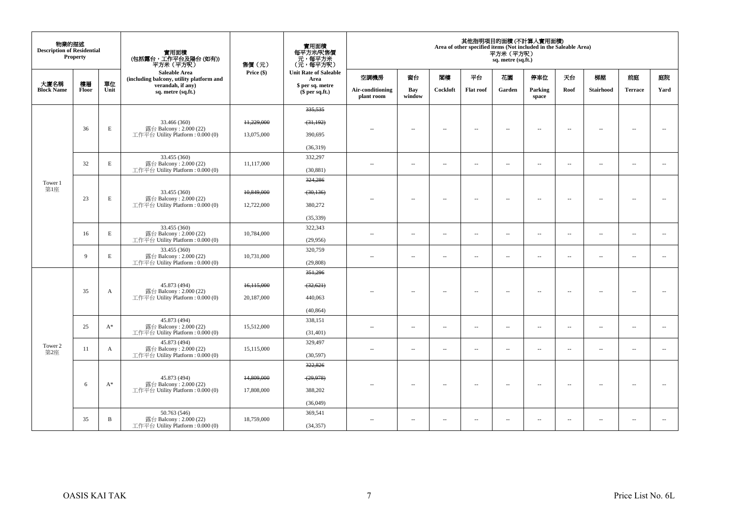| 物業的描述<br><b>Description of Residential</b> | Property     |              | 實用面積<br>(包括露台,工作平台及陽台 (如有))<br>平方米(平方呎)                          | 售價(元)      | 實用面積<br>每平方米/呎售價<br>元,每平方米<br>(元,每平方呎) |                                |                          |                          |                          | 平方米 (平方呎)<br>sq. metre (sq.ft.) | 其他指明項目的面積 (不計算入實用面積)<br>Area of other specified items (Not included in the Saleable Area) |                          |                          |                          |                          |
|--------------------------------------------|--------------|--------------|------------------------------------------------------------------|------------|----------------------------------------|--------------------------------|--------------------------|--------------------------|--------------------------|---------------------------------|-------------------------------------------------------------------------------------------|--------------------------|--------------------------|--------------------------|--------------------------|
|                                            |              |              | <b>Saleable Area</b><br>(including balcony, utility platform and | Price (\$) | <b>Unit Rate of Saleable</b><br>Area   | 空調機房                           | 窗台                       | 閣樓                       | 平台                       | 花園                              | 停車位                                                                                       | 天台                       | 梯屋                       | 前庭                       | 庭院                       |
| 大廈名稱<br><b>Block Name</b>                  | 樓層<br>Floor  | 單位<br>Unit   | verandah, if any)<br>sq. metre (sq.ft.)                          |            | \$ per sq. metre<br>$$per sq.f.$ )     | Air-conditioning<br>plant room | Bay<br>window            | Cockloft                 | <b>Flat roof</b>         | Garden                          | Parking<br>space                                                                          | Roof                     | <b>Stairhood</b>         | <b>Terrace</b>           | Yard                     |
|                                            |              |              |                                                                  |            | 335.535                                |                                |                          |                          |                          |                                 |                                                                                           |                          |                          |                          |                          |
|                                            |              |              | 33.466 (360)                                                     | 11,229,000 | (31,192)                               |                                |                          |                          |                          |                                 |                                                                                           |                          |                          |                          |                          |
|                                            | 36           | E            | 露台 Balcony: 2.000 (22)<br>工作平台 Utility Platform: 0.000 (0)       | 13,075,000 | 390,695                                |                                | μ.                       | $\sim$                   | $\overline{\phantom{a}}$ | $\overline{\phantom{a}}$        | $\overline{\phantom{a}}$                                                                  | $\overline{\phantom{a}}$ | $\overline{\phantom{a}}$ | $\sim$                   | $\sim$                   |
|                                            |              |              |                                                                  |            | (36,319)                               |                                |                          |                          |                          |                                 |                                                                                           |                          |                          |                          |                          |
|                                            |              |              | 33.455 (360)                                                     |            | 332,297                                |                                |                          |                          |                          |                                 |                                                                                           |                          |                          |                          |                          |
|                                            | 32           | E            | 露台 Balcony: 2.000 (22)<br>工作平台 Utility Platform: 0.000 (0)       | 11.117.000 | (30, 881)                              | $\overline{\phantom{a}}$       | $\overline{\phantom{a}}$ | $\sim$                   | $\overline{\phantom{a}}$ | μ.                              | $\overline{\phantom{a}}$                                                                  | $\sim$                   | $\overline{\phantom{a}}$ | $\overline{\phantom{a}}$ | $\overline{\phantom{a}}$ |
|                                            |              |              |                                                                  |            | 324,286                                |                                |                          |                          |                          |                                 |                                                                                           |                          |                          |                          |                          |
| Tower 1<br>第1座                             |              |              | 33.455 (360)                                                     | 10,849,000 | (30, 136)                              |                                |                          |                          |                          |                                 |                                                                                           |                          |                          |                          |                          |
|                                            | 23           | $\mathbf E$  | 露台 Balcony: 2.000 (22)<br>工作平台 Utility Platform: 0.000 (0)       | 12,722,000 | 380,272                                |                                | $\sim$                   | $\sim$                   | $\sim$                   | $\sim$                          | $\sim$                                                                                    | $\overline{\phantom{a}}$ | $\sim$                   | $\sim$                   | $\sim$                   |
|                                            |              |              |                                                                  |            | (35, 339)                              |                                |                          |                          |                          |                                 |                                                                                           |                          |                          |                          |                          |
|                                            | 16           | E            | 33.455 (360)<br>露台 Balcony: 2.000 (22)                           | 10,784,000 | 322,343                                | ٠.                             | $\overline{a}$           | ٠.                       | $\overline{\phantom{a}}$ | --                              | $\sim$                                                                                    | $\overline{\phantom{a}}$ | $\overline{\phantom{a}}$ | $\sim$                   | $\overline{\phantom{a}}$ |
|                                            |              |              | 工作平台 Utility Platform: 0.000 (0)                                 |            | (29,956)                               |                                |                          |                          |                          |                                 |                                                                                           |                          |                          |                          |                          |
|                                            | $\mathbf{Q}$ | E            | 33.455 (360)                                                     | 10,731,000 | 320,759                                | ٠.                             | $\overline{\phantom{a}}$ | $\sim$                   | $\overline{\phantom{a}}$ | μ.                              | $\overline{\phantom{a}}$                                                                  | $\overline{\phantom{a}}$ | $\overline{\phantom{a}}$ | $\overline{\phantom{a}}$ | $\overline{\phantom{a}}$ |
|                                            |              |              | 露台 Balcony: 2.000 (22)<br>工作平台 Utility Platform: 0.000 (0)       |            | (29, 808)                              |                                |                          |                          |                          |                                 |                                                                                           |                          |                          |                          |                          |
|                                            |              |              |                                                                  |            | 351,296                                |                                |                          |                          |                          |                                 |                                                                                           |                          |                          |                          |                          |
|                                            | 35           | A            | 45.873 (494)<br>露台 Balcony: 2.000 (22)                           | 16,115,000 | (32, 621)                              | $-$                            | $\overline{\phantom{a}}$ | $\overline{\phantom{a}}$ | $\overline{\phantom{a}}$ | $\overline{\phantom{a}}$        | $\sim$                                                                                    | $\overline{\phantom{a}}$ | $\sim$                   | $\sim$                   | $\overline{\phantom{a}}$ |
|                                            |              |              | 工作平台 Utility Platform: 0.000 (0)                                 | 20,187,000 | 440,063                                |                                |                          |                          |                          |                                 |                                                                                           |                          |                          |                          |                          |
|                                            |              |              |                                                                  |            | (40, 864)                              |                                |                          |                          |                          |                                 |                                                                                           |                          |                          |                          |                          |
|                                            | 25           | $A^*$        | 45.873 (494)<br>露台 Balcony: 2.000 (22)                           | 15,512,000 | 338,151                                | $\sim$                         | $\overline{a}$           | $\sim$                   | $\sim$                   | $\overline{a}$                  | $\sim$                                                                                    | $\sim$                   | $\overline{\phantom{a}}$ | $\sim$                   | $\overline{\phantom{a}}$ |
|                                            |              |              | 工作平台 Utility Platform: 0.000 (0)                                 |            | (31, 401)                              |                                |                          |                          |                          |                                 |                                                                                           |                          |                          |                          |                          |
| Tower 2                                    | 11           | $\mathbf{A}$ | 45.873 (494)<br>露台 Balcony: 2.000 (22)                           | 15,115,000 | 329,497                                | $\sim$                         | $\sim$                   | $\sim$                   | $\sim$                   | $\sim$                          | $\sim$                                                                                    | $\overline{\phantom{a}}$ | $\sim$                   | $\sim$                   | $\overline{\phantom{a}}$ |
| 第2座                                        |              |              | 工作平台 Utility Platform: 0.000 (0)                                 |            | (30, 597)                              |                                |                          |                          |                          |                                 |                                                                                           |                          |                          |                          |                          |
|                                            |              |              |                                                                  |            | 322,826                                |                                |                          |                          |                          |                                 |                                                                                           |                          |                          |                          |                          |
|                                            | 6            | $A^*$        | 45.873 (494)<br>露台 Balcony: 2.000 (22)                           | 14,809,000 | (29, 978)                              | $\overline{\phantom{a}}$       | --                       | $\sim$                   | $\overline{\phantom{a}}$ | $\overline{\phantom{a}}$        | $\sim$                                                                                    | $\sim$                   | $\overline{\phantom{a}}$ | $\sim$                   | $\sim$                   |
|                                            |              |              | 工作平台 Utility Platform: 0.000 (0)                                 | 17,808,000 | 388,202                                |                                |                          |                          |                          |                                 |                                                                                           |                          |                          |                          |                          |
|                                            |              |              |                                                                  |            | (36,049)                               |                                |                          |                          |                          |                                 |                                                                                           |                          |                          |                          |                          |
|                                            |              |              | 50.763 (546)                                                     |            | 369,541                                |                                |                          |                          |                          |                                 |                                                                                           |                          |                          |                          |                          |
|                                            | 35           | B            | 露台 Balcony: 2.000 (22)<br>工作平台 Utility Platform: 0.000 (0)       | 18,759,000 | (34, 357)                              | $\sim$                         | $\overline{\phantom{a}}$ | $\sim$                   | $\overline{\phantom{a}}$ | $\overline{a}$                  | $\sim$                                                                                    | $\overline{\phantom{a}}$ | $\overline{\phantom{a}}$ | $\overline{\phantom{a}}$ | $\sim$                   |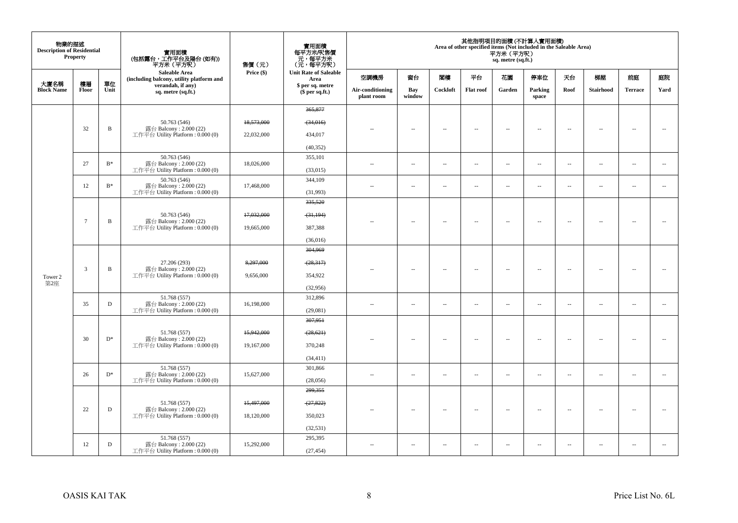| 物業的描述<br><b>Description of Residential</b> | <b>Property</b> |              | 實用面積<br>(包括露台,工作平台及陽台 (如有))<br>平方米(平方呎)                                    | 售價(元)      | 實用面積<br>每平方米/呎售價<br>一元,每平方米<br>(元,每平方米) |                                |                          |                          |                          | 平方米 (平方呎)<br>sq. metre (sq.ft.) | 其他指明項目的面積 (不計算入實用面積)<br>Area of other specified items (Not included in the Saleable Area) |                          |                          |                          |                          |
|--------------------------------------------|-----------------|--------------|----------------------------------------------------------------------------|------------|-----------------------------------------|--------------------------------|--------------------------|--------------------------|--------------------------|---------------------------------|-------------------------------------------------------------------------------------------|--------------------------|--------------------------|--------------------------|--------------------------|
|                                            |                 |              | Saleable Area<br>(including balcony, utility platform and                  | Price (\$) | <b>Unit Rate of Saleable</b><br>Area    | 空調機房                           | 窗台                       | 閣樓                       | 平台                       | 花園                              | 停車位                                                                                       | 天台                       | 梯屋                       | 前庭                       | 庭院                       |
| 大廈名稱<br><b>Block Name</b>                  | 樓層<br>Floor     | 單位<br>Unit   | verandah, if any)<br>sq. metre (sq.ft.)                                    |            | \$ per sq. metre<br>$$$ per sq.ft.)     | Air-conditioning<br>plant room | Bay<br>window            | Cockloft                 | <b>Flat roof</b>         | Garden                          | Parking<br>space                                                                          | Roof                     | Stairhood                | <b>Terrace</b>           | Yard                     |
|                                            |                 |              |                                                                            |            | 365,877                                 |                                |                          |                          |                          |                                 |                                                                                           |                          |                          |                          |                          |
|                                            |                 |              | 50.763 (546)                                                               | 18,573,000 | (34,016)                                |                                |                          |                          |                          |                                 |                                                                                           |                          |                          |                          |                          |
|                                            | 32              | B            | 露台 Balcony: 2.000 (22)<br>工作平台 Utility Platform : 0.000 (0)                | 22,032,000 | 434,017                                 |                                | $\overline{\phantom{a}}$ | $\sim$                   | $\overline{\phantom{a}}$ | $\overline{\phantom{a}}$        | $\sim$                                                                                    | $\sim$                   | $\overline{\phantom{a}}$ | $\sim$                   | ÷.                       |
|                                            |                 |              |                                                                            |            | (40, 352)                               |                                |                          |                          |                          |                                 |                                                                                           |                          |                          |                          |                          |
|                                            | 27              | $B*$         | 50.763 (546)<br>露台 Balcony: 2.000 (22)                                     | 18,026,000 | 355,101                                 | ٠.                             | $\overline{\phantom{a}}$ | $\sim$                   | $\overline{\phantom{a}}$ | $\overline{\phantom{a}}$        | $\overline{\phantom{a}}$                                                                  | $\overline{\phantom{a}}$ | $\overline{\phantom{a}}$ | $\overline{\phantom{a}}$ | $\overline{\phantom{a}}$ |
|                                            |                 |              | 工作平台 Utility Platform: 0.000 (0)                                           |            | (33,015)                                |                                |                          |                          |                          |                                 |                                                                                           |                          |                          |                          |                          |
|                                            | 12              | $B^*$        | 50.763 (546)<br>露台 Balcony: 2.000 (22)                                     | 17,468,000 | 344,109                                 | ٠.                             | $\overline{\phantom{a}}$ | $\sim$                   | $\overline{\phantom{a}}$ | $\overline{\phantom{a}}$        | $\overline{\phantom{a}}$                                                                  | $\overline{\phantom{a}}$ | $\overline{\phantom{a}}$ | $\overline{\phantom{a}}$ | $\overline{\phantom{a}}$ |
|                                            |                 |              | 工作平台 Utility Platform: 0.000 (0)                                           |            | (31,993)                                |                                |                          |                          |                          |                                 |                                                                                           |                          |                          |                          |                          |
|                                            |                 |              |                                                                            |            | 335,520                                 |                                |                          |                          |                          |                                 |                                                                                           |                          |                          |                          |                          |
|                                            | $\overline{7}$  | $\mathbf B$  | 50.763 (546)<br>露台 Balcony: 2.000 (22)                                     | 17,032,000 | (31, 194)                               | $-$                            | $\sim$                   | $\sim$                   | $\sim$                   | $\overline{a}$                  | $\sim$                                                                                    | $\overline{\phantom{a}}$ | $\sim$                   | $\sim$                   | $\sim$                   |
|                                            |                 |              | 工作平台 Utility Platform: 0.000 (0)                                           | 19,665,000 | 387,388                                 |                                |                          |                          |                          |                                 |                                                                                           |                          |                          |                          |                          |
|                                            |                 |              |                                                                            |            | (36,016)                                |                                |                          |                          |                          |                                 |                                                                                           |                          |                          |                          |                          |
|                                            |                 |              | 27.206 (293)<br>露台 Balcony: 2.000 (22)<br>工作平台 Utility Platform: 0.000 (0) |            | 304,969                                 |                                |                          |                          |                          |                                 |                                                                                           |                          |                          |                          |                          |
|                                            | $\mathfrak{Z}$  | $\, {\bf B}$ |                                                                            | 8,297,000  | (28, 317)                               | ٠.                             | $\overline{\phantom{a}}$ | $\sim$                   | $\sim$                   | $\overline{\phantom{a}}$        | $\sim$                                                                                    | $\overline{\phantom{a}}$ | $\overline{\phantom{a}}$ | $\bar{a}$                | $\sim$                   |
| Tower 2<br>第2座                             |                 |              |                                                                            | 9,656,000  | 354,922                                 |                                |                          |                          |                          |                                 |                                                                                           |                          |                          |                          |                          |
|                                            |                 |              |                                                                            |            | (32,956)                                |                                |                          |                          |                          |                                 |                                                                                           |                          |                          |                          |                          |
|                                            | 35              | $\mathbf D$  | 51.768 (557)<br>露台 Balcony: 2.000 (22)                                     | 16,198,000 | 312,896                                 | $\overline{a}$                 | μ.                       | $\sim$                   | $\sim$                   | $\overline{\phantom{a}}$        | $\sim$                                                                                    | $\overline{\phantom{a}}$ | $\sim$                   | $\sim$                   | $\sim$                   |
|                                            |                 |              | 工作平台 Utility Platform: 0.000 (0)                                           |            | (29,081)<br>307,951                     |                                |                          |                          |                          |                                 |                                                                                           |                          |                          |                          |                          |
|                                            |                 |              |                                                                            |            |                                         |                                |                          |                          |                          |                                 |                                                                                           |                          |                          |                          |                          |
|                                            | 30              | $D^*$        | 51.768 (557)<br>露台 Balcony: 2.000 (22)                                     | 15.942.000 | (28, 621)                               |                                | $\sim$                   | $\sim$                   | $\sim$                   | $\overline{\phantom{a}}$        | $\sim$                                                                                    | $\sim$                   | $\sim$                   | $\overline{\phantom{a}}$ |                          |
|                                            |                 |              | 工作平台 Utility Platform: 0.000 (0)                                           | 19,167,000 | 370,248                                 |                                |                          |                          |                          |                                 |                                                                                           |                          |                          |                          |                          |
|                                            |                 |              |                                                                            |            | (34, 411)                               |                                |                          |                          |                          |                                 |                                                                                           |                          |                          |                          |                          |
|                                            | 26              | $D^*$        | 51.768 (557)<br>露台 Balcony: $2.000(22)$                                    | 15,627,000 | 301,866                                 | $\overline{a}$                 | $\overline{\phantom{a}}$ | $\sim$                   | $\overline{\phantom{a}}$ | $\overline{\phantom{a}}$        | $\overline{\phantom{a}}$                                                                  | $\overline{\phantom{a}}$ | $\sim$                   | $\overline{\phantom{a}}$ | $\overline{\phantom{a}}$ |
|                                            |                 |              | 工作平台 Utility Platform: 0.000 (0)                                           |            | (28,056)<br>299,355                     |                                |                          |                          |                          |                                 |                                                                                           |                          |                          |                          |                          |
|                                            |                 |              |                                                                            |            |                                         |                                |                          |                          |                          |                                 |                                                                                           |                          |                          |                          |                          |
|                                            | 22              | $\mathbf D$  | 51.768 (557)<br>露台 Balcony: 2.000 (22)                                     | 15,497,000 | (27, 822)                               |                                | $\overline{\phantom{a}}$ | $\overline{\phantom{a}}$ | $\overline{\phantom{a}}$ | $\overline{\phantom{a}}$        | $\sim$                                                                                    | $\overline{\phantom{a}}$ | $\overline{\phantom{a}}$ | $\sim$                   | $\sim$                   |
|                                            |                 |              | 工作平台 Utility Platform : $0.000(0)$                                         | 18,120,000 | 350,023                                 |                                |                          |                          |                          |                                 |                                                                                           |                          |                          |                          |                          |
|                                            |                 |              | 51.768 (557)                                                               |            | (32, 531)<br>295,395                    |                                |                          |                          |                          |                                 |                                                                                           |                          |                          |                          |                          |
|                                            | 12              | D            | 露台 Balcony: 2.000 (22)<br>工作平台 Utility Platform: 0.000 (0)                 | 15,292,000 | (27, 454)                               | $\sim$ $\sim$                  | $\overline{\phantom{a}}$ | $\sim$                   | $\sim$                   | $\overline{a}$                  | $\sim$                                                                                    | $\sim$                   | $\sim$                   | $\sim$                   | $\sim$                   |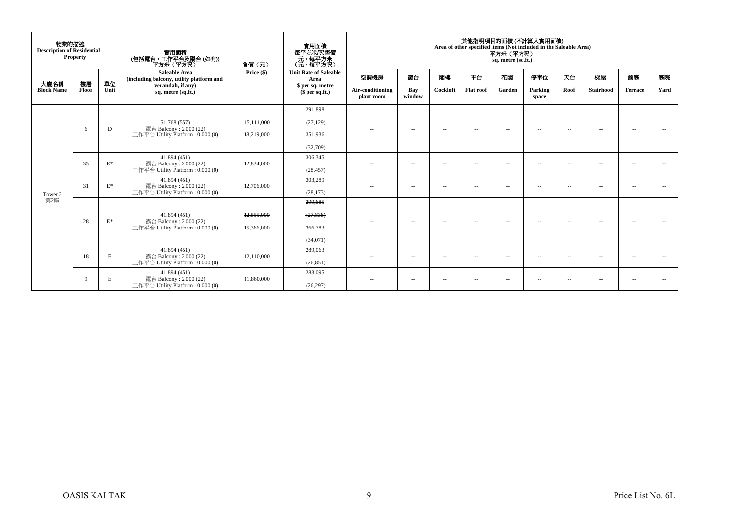| 物業的描述<br><b>Description of Residential</b> | <b>Property</b> |                | 實用面積<br>(包括露台,工作平台及陽台(如有))<br>平方米 (平方呎)                          | 售價(元)                 | 實用面積<br>每平方米/呎售價<br>元,每平方米<br>(元,每平方呎) |                                |                          |                          |                          | 平方米 (平方呎)<br>sq. metre (sq.ft.) | 其他指明項目的面積 (不計算入實用面積)<br>Area of other specified items (Not included in the Saleable Area) |                          |                          |                          |      |
|--------------------------------------------|-----------------|----------------|------------------------------------------------------------------|-----------------------|----------------------------------------|--------------------------------|--------------------------|--------------------------|--------------------------|---------------------------------|-------------------------------------------------------------------------------------------|--------------------------|--------------------------|--------------------------|------|
| 大廈名稱                                       | 樓層              | 單位             | <b>Saleable Area</b><br>(including balcony, utility platform and | Price $(\$)$          | <b>Unit Rate of Saleable</b><br>Area   | 空調機房                           | 窗台                       | 閣樓                       | 平台                       | 花園                              | 停車位                                                                                       | 天台                       | 梯屋                       | 前庭                       | 庭院   |
| <b>Block Name</b>                          | Floor           | Unit           | verandah, if any)<br>sq. metre (sq.ft.)                          |                       | \$ per sq. metre<br>\$per sq.ft.)      | Air-conditioning<br>plant room | Bay<br>window            | Cockloft                 | <b>Flat roof</b>         | Garden                          | Parking<br>space                                                                          | Roof                     | <b>Stairhood</b>         | <b>Terrace</b>           | Yard |
|                                            |                 |                |                                                                  |                       | 291,898                                |                                |                          |                          |                          |                                 |                                                                                           |                          |                          |                          |      |
|                                            |                 |                | 51.768 (557)                                                     | 15,111,000            | (27, 129)                              |                                |                          |                          |                          |                                 |                                                                                           |                          |                          |                          |      |
|                                            | 6               | D              | 露台 Balcony: 2.000 (22)<br>工作平台 Utility Platform: 0.000 (0)       | 18,219,000            | 351.936                                | $\sim$ $-$                     | $\overline{\phantom{a}}$ | $\overline{\phantom{a}}$ | $\overline{a}$           | -                               | $\sim$                                                                                    | $\sim$                   | $\sim$                   |                          |      |
|                                            |                 |                |                                                                  |                       | (32,709)                               |                                |                          |                          |                          |                                 |                                                                                           |                          |                          |                          |      |
|                                            | 35              | $\mathbf{E}^*$ | 41.894 (451)<br>露台 Balcony: 2.000 (22)                           | 12,834,000            | 306,345                                | $\sim$ $-$                     | $\overline{\phantom{a}}$ | $\overline{\phantom{a}}$ | $\overline{a}$           | $\overline{a}$                  | $\sim$ $-$                                                                                | $\overline{\phantom{a}}$ | $\overline{\phantom{a}}$ | $\overline{a}$           |      |
|                                            |                 |                | 工作平台 Utility Platform: 0.000 (0)                                 |                       | (28, 457)                              |                                |                          |                          |                          |                                 |                                                                                           |                          |                          |                          |      |
|                                            | 31              | $\mathbf{E}^*$ | 41.894 (451)<br>露台 Balcony: 2.000 (22)                           | 12,706,000            | 303,289                                | $\sim$ $-$                     | $\sim$                   | $\overline{\phantom{a}}$ | $\sim$ $-$               | $\sim$ $-$                      | $\sim$ $-$                                                                                | $ -$                     | $\sim$                   | $\sim$ $-$               |      |
| Tower 2                                    |                 |                | 工作平台 Utility Platform : $0.000(0)$                               |                       | (28, 173)                              |                                |                          |                          |                          |                                 |                                                                                           |                          |                          |                          |      |
| 第2座                                        |                 |                |                                                                  |                       | 299,685                                |                                |                          |                          |                          |                                 |                                                                                           |                          |                          |                          |      |
|                                            | 28              | $E^*$          | 41.894 (451)<br>露台 Balcony: 2.000 (22)                           | 12,555,000            | (27, 838)                              | $\sim$ $-$                     |                          |                          | $\overline{\phantom{a}}$ | $\overline{\phantom{a}}$        | $\overline{\phantom{a}}$                                                                  | $\sim$                   | $\sim$                   | $\sim$                   |      |
|                                            |                 |                | 工作平台 Utility Platform: 0.000 (0)                                 | 15,366,000            | 366,783                                |                                | $\overline{\phantom{a}}$ | $\sim$                   |                          |                                 |                                                                                           |                          |                          |                          |      |
|                                            |                 |                |                                                                  |                       | (34,071)                               |                                |                          |                          |                          |                                 |                                                                                           |                          |                          |                          |      |
|                                            | 18              | E              | 41.894 (451)<br>露台 Balcony: 2.000 (22)                           | 289,063<br>12.110.000 | $\sim$                                 | $\overline{\phantom{a}}$       | $\overline{\phantom{a}}$ | $-$                      | $\sim$ $-$               | $\sim$ $-$                      | $\overline{\phantom{a}}$                                                                  | $\sim$                   | $\overline{\phantom{a}}$ | 44                       |      |
|                                            |                 |                | 工作平台 Utility Platform: 0.000 (0)                                 |                       | (26, 851)                              |                                |                          |                          |                          |                                 |                                                                                           |                          |                          |                          |      |
|                                            | 9               | E              | 41.894 (451)<br>露台 Balcony: 2.000 (22)                           | 11,860,000            | 283,095                                | $- -$                          | $\sim$                   | $\sim$ $-$               | $\overline{\phantom{a}}$ | $\overline{\phantom{a}}$        | $\overline{\phantom{a}}$                                                                  | $\sim$                   | $- -$                    | $\overline{\phantom{a}}$ |      |
|                                            |                 |                | 工作平台 Utility Platform: 0.000 (0)                                 |                       | (26, 297)                              |                                |                          |                          |                          |                                 |                                                                                           |                          |                          |                          |      |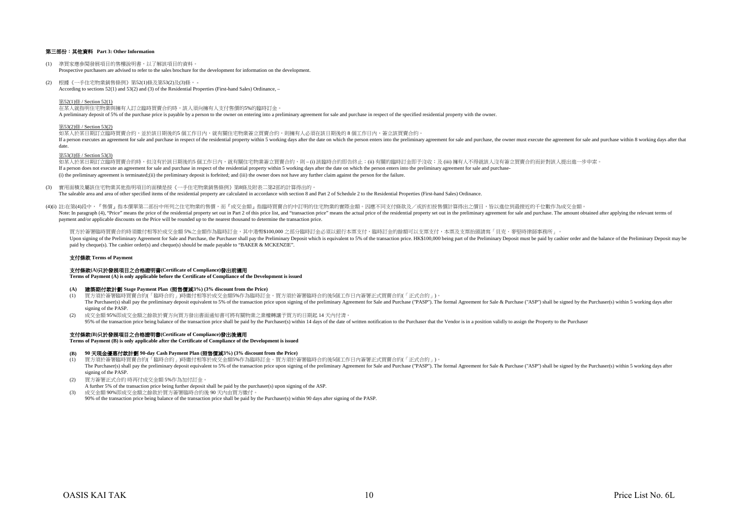# 第三部份:其他資料 **Part 3: Other Information**

- (1) 準買家應參閱發展項目的售樓說明書,以了解該項目的資料。 Prospective purchasers are advised to refer to the sales brochure for the development for information on the development.
- (2) 根據《一手住宅物業銷售條例》第52(1)條及第53(2)及(3)條, According to sections 52(1) and 53(2) and (3) of the Residential Properties (First-hand Sales) Ordinance, –

第52(1)條 / Section 52(1)

在某人就指明住宅物業與擁有人訂立臨時買賣合約時,該人須向擁有人支付售價的5%的臨時訂金。 A preliminary deposit of 5% of the purchase price is payable by a person to the owner on entering into a preliminary agreement for sale and purchase in respect of the specified residential property with the owner.

#### 第53(2)條 / Section 53(2)

如某人於某日期訂立臨時買賣合約,並於該日期後的5 個工作日內,就有關住宅物業簽立買賣合約,則擁有人必須在該日期後的 8 個工作日内,簽立該買賣合約。 If a person executes an agreement for sale and purchase in respect of the residential property within 5 working days after the date on which the person enters into the preliminary agreement for sale and purchase, the owner date.

# 第53(3)條 / Section 53(3)

如某人於某日期訂立臨時買賣合約時,但沒有於該日期後的5 個工作日內,就有關住宅物業簽立買賣合約,則 – (i) 該臨時合約即告終止;(ii) 有關的臨時訂金即予沒收;及 (iii) 擁有人不得就該人沒有簽立買賣合約而針對該人提出進一步申索。 If a person does not execute an agreement for sale and purchase in respect of the residential property within 5 working days after the date on which the person enters into the preliminary agreement for sale and purchase-(i) the preliminary agreement is terminated;(ii) the preliminary deposit is forfeited; and (iii) the owner does not have any further claim against the person for the failure.

(3) 實用面積及屬該住宅物業其他指明項目的面積是按《一手住宅物業銷售條例》第8條及附表二第2部的計算得出的。

The saleable area and area of other specified items of the residential property are calculated in accordance with section 8 and Part 2 of Schedule 2 to the Residential Properties (First-hand Sales) Ordinance.

(4)(i) 註:在第(4)段中,『售價』指本價單第二部份中所列之住宅物業的售價,而『成交金額』指臨時買賣合約中訂明的住宅物業的實際金額。因應不同支付條款及/或折扣按售價計算得出之價目,皆以進位到最接近的千位數作為成交金額。  $\frac{1}{2}$ payment and/or applicable discounts on the Price will be rounded up to the nearest thousand to determine the transaction price.

買方於簽署臨時買賣合約時須繳付相等於成交金額 5%之金額作為臨時訂金,其中港幣\$100,000 之部分臨時訂金必須以銀行本票支付,臨時訂金的餘額可以支票支付,本票及支票抬頭請寫「貝克.麥堅時律師事務所」。 Upon signing of the Preliminary Agreement for Sale and Purchase, the Purchaser shall pay the Preliminary Deposit which is equivalent to 5% of the transaction price. HK\$100,000 being part of the Preliminary Deposit must be paid by cheque(s). The cashier order(s) and cheque(s) should be made payable to "BAKER & MCKENZIE".

#### 支付條款 **Terms of Payment**

## 支付條款**(A)**只於發展項目之合格證明書**(Certificate of Compliance)**發出前適用

**Terms of Payment (A) is only applicable before the Certificate of Compliance of the Development is issued**

# **(A)** 建築期付款計劃 **Stage Payment Plan (**照售價減**3%) (3% discount from the Price)**

- (1) 買方須於簽署臨時買賣合約(「臨時合約」)時繳付相等於成交金額5%作為臨時訂金。買方須於簽署臨時合約後5個工作日內簽署正式買賣合約(「正式合約」)。 The Purchaser(s) shall pay the preliminary deposit equivalent to 5% of the transaction price upon signing of the preliminary Agreement for Sale and Purchase ("PASP"). The formal Agreement for Sale & Purchase ("ASP") shall signing of the PASP.
- (2) 成交金額 95%即成交金額之餘款於賣方向買方發出書面通知書可將有關物業之業權轉讓予買方的日期起 14 天內付清。 95% of the transaction price being balance of the transaction price shall be paid by the Purchaser(s) within 14 days of the date of written potification to the Purchaser that the Vendor is in a position validly to assign t

# 支付條款**(B)**只於發展項目之合格證明書**(Certificate of Compliance)**發出後適用

**Terms of Payment (B) is only applicable after the Certificate of Compliance of the Development is issued**

#### **(B) 90** 天現金優惠付款計劃 **90-day Cash Payment Plan (**照售價減**3%) (3% discount from the Price)**

(1) 買方須於簽署臨時買賣合約(「臨時合約」)時繳付相等於成交金額5%作為臨時訂金。買方須於簽署臨時合約後5個工作日內簽署正式買賣合約(「正式合約」)。 The Purchaser(s) shall pay the preliminary deposit equivalent to 5% of the transaction price upon signing of the preliminary Agreement for Sale and Purchase ("PASP"). The formal Agreement for Sale & Purchase ("ASP") shall signing of the PASP.

- (2) 買方簽署正式合約 時再付成交金額 5%作為加付訂金。
- A further 5% of the transaction price being further deposit shall be paid by the purchaser(s) upon signing of the ASP.
- (3) 成交金額 90%即成交金額之餘款於買方簽署臨時合約後 90 天內由買方繳付。 90% of the transaction price being balance of the transaction price shall be paid by the Purchaser(s) within 90 days after signing of the PASP.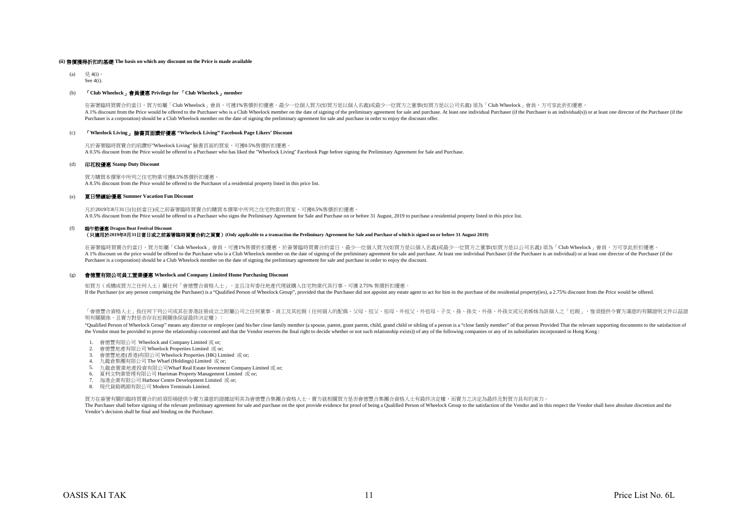### **(ii)** 售價獲得折扣的基礎 **The basis on which any discount on the Price is made available**

(a) 見 4(i)。 See 4(i).

# (b) 「**Club Wheelock**」會員優惠 **Privilege for** 「**Club Wheelock**」**member**

在簽署臨時買賣合約當日,買方如屬「Club Wheelock」會員,可獲1%售價折扣優惠。最少一位個人買方(如買方是以個人名義)或最少一位買方之董事(如買方是以公司名義) 須為「Club Wheelock」會員,方可享此折扣優惠 A 1% discount from the Price would be offered to the Purchaser who is a Club Wheelock member on the date of signing of the preliminary agreement for sale and purchase. At least one individual Purchaser (if the Purchaser is Purchaser is a corporation) should be a Club Wheelock member on the date of signing the preliminary agreement for sale and purchase in order to enjoy the discount offer.

# (c) 「**Wheelock Living**」 臉書頁面讚好優惠 **"Wheelock Living" Facebook Page Likers' Discount**

凡於簽署臨時買賣合約前讚好"Wheelock Living" 臉書頁面的買家,可獲0.5%售價折扣優惠。 A 0.5% discount from the Price would be offered to a Purchaser who has liked the "Wheelock Living" Facebook Page before signing the Preliminary Agreement for Sale and Purchase.

#### (d) 印花稅優惠 **Stamp Duty Discount**

買方購買本價單中所列之住宅物業可獲8.5%售價折扣優惠。 A 8.5% discount from the Price would be offered to the Purchaser of a residential property listed in this price list.

#### (e) 夏日樂繽紛優惠 **Summer Vacation Fun Discount**

凡於2019年8月31日(包括當日)或之前簽署臨時買賣合約購買本價單中所列之住宅物業的買家,可獲0.5%售價折扣優惠。 A 0.5% discount from the Price would be offered to a Purchaser who signs the Preliminary Agreement for Sale and Purchase on or before 31 August, 2019 to purchase a residential property listed in this price list.

#### (f) 端午節優惠 **Dragon Boat Festival Discount**

(只適用於**2019**年**8**月**31**日當日或之前簽署臨時買賣合約之買賣)**(Only applicable to a transaction the Preliminary Agreement for Sale and Purchase of which is signed on or before 31 August 2019)**

在簽署臨時買賣合約當日,買方如屬「Club Wheelock」會員,可獲1%售價折扣優惠。於答署臨時買賣合約當日,最少一位個人買方(如買方是以個人名義)或最少一位買方之董事(如買方是以公司名義) 須為「Club Wheelock」會員,方可享此折扣優惠 A 1% discount on the price would be offered to the Purchaser who is a Club Wheelock member on the date of signing of the preliminary agreement for sale and purchase. At least one individual Purchaser (if the Purchaser is a Purchaser is a corporation) should be a Club Wheelock member on the date of signing the preliminary agreement for sale and purchase in order to enjoy the discount.

#### (g) 會德豐有限公司員工置業優惠 **Wheelock and Company Limited Home Purchasing Discount**

如買方 (或構成買方之任何人士)屬任何「會德豐合資格人士」,並且沒有委任地產代理就購入住宅物業代其行事,可獲 2.75% 售價折扣優惠 If the Purchaser (or any person comprising the Purchaser) is a "Qualified Person of Wheelock Group", provided that the Purchaser did not appoint any estate agent to act for him in the purchase of the residential property(i

「會德豐合資格人士」指任何下列公司或其在香港註冊成立之附屬公司之任何董事、員工及其近親(任何個人的配偶、父母、祖父、相母、外祖父、外祖母、子女、孫、孫女、外孫、外孫女或兄弟姊妹為該個人之「近親」,惟須提供今賣方滿資的有關證明文件以茲證 明有關關係,日賣方對是否存在近親關係保留最終決定權):

"Qualified Person of Wheelock Group" means any director or employee (and his/her close family member (a spouse, parent, grant parent, child, grand child or sibling of a person is a "close family member" of that person Prov the Vendor must be provided to prove the relationship concerned and that the Vendor reserves the final right to decide whether or not such relationship exists)) of any of the following companies or any of its subsidiaries

- 1. 會德豐有限公司 Wheelock and Company Limited 或 or;
- 2. 會德豐地產有限公司 Wheelock Properties Limited 或 or;
- 3. 會德豐地產(香港)有限公司 Wheelock Properties (HK) Limited 或 or;
- 4. 九龍倉集團有限公司 The Wharf (Holdings) Limited 或 or;
- 5. 九龍倉置業地產投資有限公司Wharf Real Estate Investment Company Limited 或 or;
- 6. 夏利文物業管理有限公司 Harriman Property Management Limited 或 or;
- 7. 海港企業有限公司 Harbour Centre Development Limited 或 or;
- 8. 現代貨箱碼頭有限公司 Modern Terminals Limited.

買方在簽署有關的臨時買賣合約前須即場提供令賣方滿意的證據証明其為會德豐合集團合資格人士,賣方就相關買方是否會德豐合集團合資格人士有最終決定權,而賣方之決定為最終及對買方具有約束力。

The Purchaser shall before signing of the relevant preliminary agreement for sale and purchase on the spot provide evidence for proof of being a Qualified Person of Wheelock Group to the satisfaction of the Vendor and in t Vendor's decision shall be final and binding on the Purchaser.